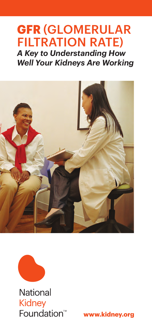# **GFR** (Glomerular Filtration Rate)

*A Key to Understanding How Well Your Kidneys Are Working*





**National Kidney** Foundation<sup>™</sup>

**www.kidney.org**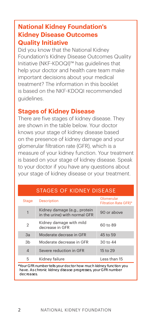#### **National Kidney Foundation's Kidney Disease Outcomes Quality Initiative**

Did you know that the National Kidney Foundation's Kidney Disease Outcomes Quality Initiative (NKF-KDOQI)™ has guidelines that help your doctor and health care team make important decisions about your medical treatment? The information in this booklet is based on the NKF-KDOQI recommended guidelines.

#### **Stages of Kidney Disease**

There are five stages of kidney disease. They are shown in the table below. Your doctor knows your stage of kidney disease based on the presence of kidney damage and your glomerular filtration rate (GFR), which is a measure of your kidney function. Your treatment is based on your stage of kidney disease. Speak to your doctor if you have any questions about your stage of kidney disease or your treatment.

#### Stages of Kidney Disease

| <b>Stage</b>   | <b>Description</b>                                            | Glomerular<br>Filtration Rate GFR)* |
|----------------|---------------------------------------------------------------|-------------------------------------|
| 1              | Kidney damage (e.g., protein<br>in the urine) with normal GFR | 90 or above                         |
| 2              | Kidney damage with mild<br>decrease in GFR                    | 60 to 89                            |
| 3a             | Moderate decrase in GFR                                       | 45 to 59                            |
| Зb             | Moderate decrease in GFR                                      | 30 to 44                            |
| $\overline{4}$ | Severe reduction in GFR                                       | 15 to 29                            |
| 5              | Kidney failure                                                | Less than 15                        |

\*Your GFR number tells your doctor how much kidney function you have. As chronic kidney disease progresses, your GFR number decreases.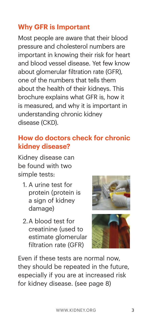# **Why GFR is Important**

Most people are aware that their blood pressure and cholesterol numbers are important in knowing their risk for heart and blood vessel disease. Yet few know about glomerular filtration rate (GFR), one of the numbers that tells them about the health of their kidneys. This brochure explains what GFR is, how it is measured, and why it is important in understanding chronic kidney disease (CKD).

# **How do doctors check for chronic kidney disease?**

Kidney disease can be found with two simple tests:

- 1. A urine test for protein (protein is a sign of kidney damage)
- 2.A blood test for creatinine (used to estimate glomerular filtration rate (GFR)





Even if these tests are normal now, they should be repeated in the future, especially if you are at increased risk for kidney disease. (see page 8)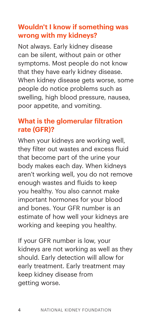## **Wouldn't I know if something was wrong with my kidneys?**

Not always. Early kidney disease can be silent, without pain or other symptoms. Most people do not know that they have early kidney disease. When kidney disease gets worse, some people do notice problems such as swelling, high blood pressure, nausea, poor appetite, and vomiting.

#### **What is the glomerular filtration rate (GFR)?**

When your kidneys are working well, they filter out wastes and excess fluid that become part of the urine your body makes each day. When kidneys aren't working well, you do not remove enough wastes and fluids to keep you healthy. You also cannot make important hormones for your blood and bones. Your GFR number is an estimate of how well your kidneys are working and keeping you healthy.

If your GFR number is low, your kidneys are not working as well as they should. Early detection will allow for early treatment. Early treatment may keep kidney disease from getting worse.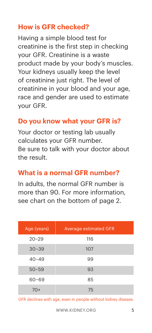# **How is GFR checked?**

Having a simple blood test for creatinine is the first step in checking your GFR. Creatinine is a waste product made by your body's muscles. Your kidneys usually keep the level of creatinine just right. The level of creatinine in your blood and your age, race and gender are used to estimate your GFR.

#### **Do you know what your GFR is?**

Your doctor or testing lab usually calculates your GFR number. Be sure to talk with your doctor about the result.

#### **What is a normal GFR number?**

In adults, the normal GFR number is more than 90. For more information, see chart on the bottom of page 2.

| Age (years) | <b>Average estimated GFR</b> |
|-------------|------------------------------|
| $20 - 29$   | 116                          |
| $30 - 39$   | 107                          |
| $40 - 49$   | 99                           |
| $50 - 59$   | 93                           |
| $60 - 69$   | 85                           |
| $70+$       | 75                           |

GFR declines with age, even in people without kidney disease.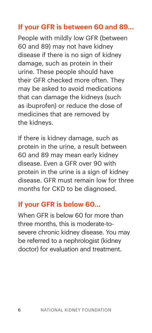# **If your GFR is between 60 and 89...**

People with mildly low GFR (between 60 and 89) may not have kidney disease if there is no sign of kidney damage, such as protein in their urine. These people should have their GFR checked more often. They may be asked to avoid medications that can damage the kidneys (such as ibuprofen) or reduce the dose of medicines that are removed by the kidneys.

If there is kidney damage, such as protein in the urine, a result between 60 and 89 may mean early kidney disease. Even a GFR over 90 with protein in the urine is a sign of kidney disease. GFR must remain low for three months for CKD to be diagnosed.

#### **If your GFR is below 60...**

When GFR is below 60 for more than three months, this is moderate-tosevere chronic kidney disease. You may be referred to a nephrologist (kidney doctor) for evaluation and treatment.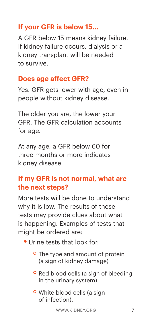# **If your GFR is below 15...**

A GFR below 15 means kidney failure. If kidney failure occurs, dialysis or a kidney transplant will be needed to survive.

#### **Does age affect GFR?**

Yes. GFR gets lower with age, even in people without kidney disease.

The older you are, the lower your GFR. The GFR calculation accounts for age.

At any age, a GFR below 60 for three months or more indicates kidney disease.

## **If my GFR is not normal, what are the next steps?**

More tests will be done to understand why it is low. The results of these tests may provide clues about what is happening. Examples of tests that might be ordered are:

- **•** Urine tests that look for:
	- <sup>o</sup> The type and amount of protein (a sign of kidney damage)
	- **o** Red blood cells (a sign of bleeding in the urinary system)
	- **o** White blood cells (a sign of infection).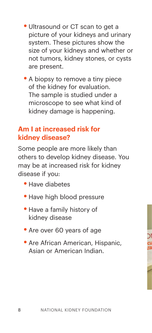- Ultrasound or CT scan to get a picture of your kidneys and urinary system. These pictures show the size of your kidneys and whether or not tumors, kidney stones, or cysts are present.
- A biopsy to remove a tiny piece of the kidney for evaluation. The sample is studied under a microscope to see what kind of kidney damage is happening.

#### **Am I at increased risk for kidney disease?**

Some people are more likely than others to develop kidney disease. You may be at increased risk for kidney disease if you:

- **•** Have diabetes
- **Have high blood pressure**
- **•** Have a family history of kidney disease
- **•** Are over 60 years of age
- **Are African American, Hispanic,** Asian or American Indian.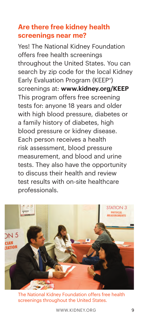### **Are there free kidney health screenings near me?**

Yes! The National Kidney Foundation offers free health screenings throughout the United States. You can search by zip code for the local Kidney Early Evaluation Program (KEEP®) screenings at: **www.kidney.org/KEEP** This program offers free screening tests for: anyone 18 years and older with high blood pressure, diabetes or a family history of diabetes, high blood pressure or kidney disease. Each person receives a health risk assessment, blood pressure measurement, and blood and urine tests. They also have the opportunity to discuss their health and review test results with on-site healthcare professionals.



The National Kidney Foundation offers free health screenings throughout the United States.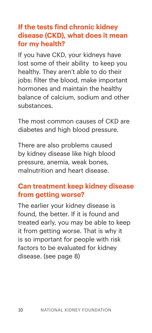#### **If the tests find chronic kidney disease (CKD), what does it mean for my health?**

If you have CKD, your kidneys have lost some of their ability to keep you healthy. They aren't able to do their jobs: filter the blood, make important hormones and maintain the healthy balance of calcium, sodium and other substances.

The most common causes of CKD are diabetes and high blood pressure.

There are also problems caused by kidney disease like high blood pressure, anemia, weak bones, malnutrition and heart disease.

#### **Can treatment keep kidney disease from getting worse?**

The earlier your kidney disease is found, the better. If it is found and treated early, you may be able to keep it from getting worse. That is why it is so important for people with risk factors to be evaluated for kidney disease. (see page 8)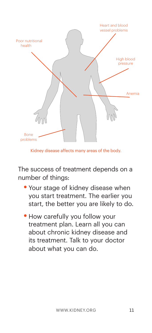

Kidney disease affects many areas of the body.

The success of treatment depends on a number of things:

- **•** Your stage of kidney disease when you start treatment. The earlier you start, the better you are likely to do.
- **How carefully you follow your** treatment plan. Learn all you can about chronic kidney disease and its treatment. Talk to your doctor about what you can do.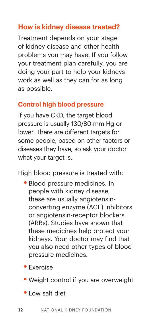# **How is kidney disease treated?**

Treatment depends on your stage of kidney disease and other health problems you may have. If you follow your treatment plan carefully, you are doing your part to help your kidneys work as well as they can for as long as possible.

#### **Control high blood pressure**

If you have CKD, the target blood pressure is usually 130/80 mm Hg or lower. There are different targets for some people, based on other factors or diseases they have, so ask your doctor what your target is.

High blood pressure is treated with:

- **•** Blood pressure medicines. In people with kidney disease, these are usually angiotensinconverting enzyme (ACE) inhibitors or angiotensin-receptor blockers (ARBs). Studies have shown that these medicines help protect your kidneys. Your doctor may find that you also need other types of blood pressure medicines.
- **•** Exercise
- **•** Weight control if you are overweight
- **•** Low salt diet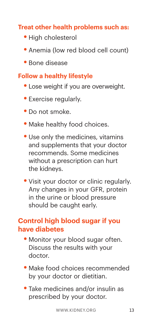#### **Treat other health problems such as:**

- **•** High cholesterol
- Anemia (low red blood cell count)
- **•** Bone disease

#### **Follow a healthy lifestyle**

- **•** Lose weight if you are overweight.
- **•** Exercise regularly.
- Do not smoke.
- Make healthy food choices.
- Use only the medicines, vitamins and supplements that your doctor recommends. Some medicines without a prescription can hurt the kidneys.
- **•** Visit your doctor or clinic regularly. Any changes in your GFR, protein in the urine or blood pressure should be caught early.

#### **Control high blood sugar if you have diabetes**

- **Monitor your blood sugar often.** Discuss the results with your doctor.
- **•** Make food choices recommended by your doctor or dietitian.
- **•** Take medicines and/or insulin as prescribed by your doctor.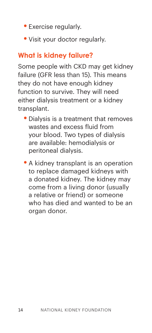- **•** Exercise regularly.
- **•** Visit your doctor regularly.

# **What is kidney failure?**

Some people with CKD may get kidney failure (GFR less than 15). This means they do not have enough kidney function to survive. They will need either dialysis treatment or a kidney transplant.

- **•** Dialysis is a treatment that removes wastes and excess fluid from your blood. Two types of dialysis are available: hemodialysis or peritoneal dialysis.
- **•** A kidney transplant is an operation to replace damaged kidneys with a donated kidney. The kidney may come from a living donor (usually a relative or friend) or someone who has died and wanted to be an organ donor.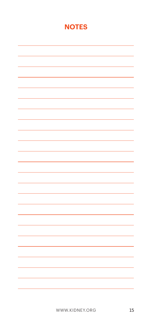#### **NOTES**